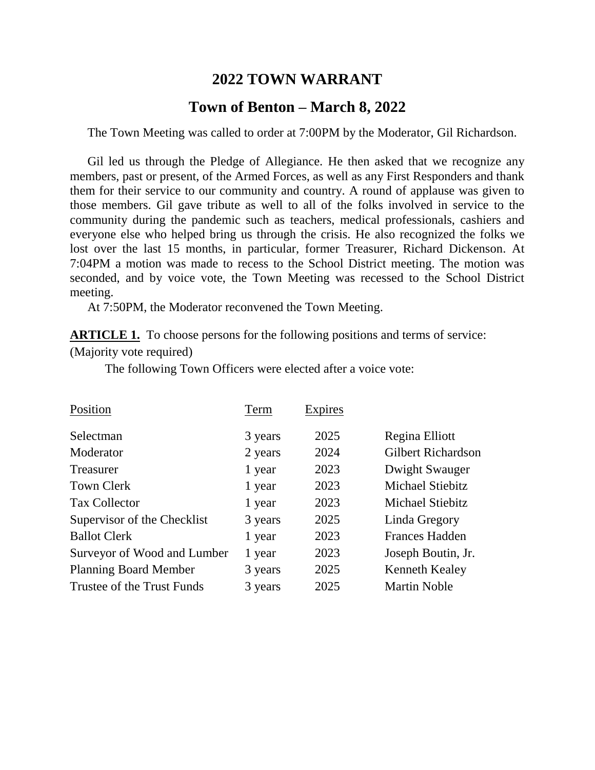## **2022 TOWN WARRANT**

## **Town of Benton – March 8, 2022**

The Town Meeting was called to order at 7:00PM by the Moderator, Gil Richardson.

Gil led us through the Pledge of Allegiance. He then asked that we recognize any members, past or present, of the Armed Forces, as well as any First Responders and thank them for their service to our community and country. A round of applause was given to those members. Gil gave tribute as well to all of the folks involved in service to the community during the pandemic such as teachers, medical professionals, cashiers and everyone else who helped bring us through the crisis. He also recognized the folks we lost over the last 15 months, in particular, former Treasurer, Richard Dickenson. At 7:04PM a motion was made to recess to the School District meeting. The motion was seconded, and by voice vote, the Town Meeting was recessed to the School District meeting.

At 7:50PM, the Moderator reconvened the Town Meeting.

**ARTICLE 1.** To choose persons for the following positions and terms of service: (Majority vote required)

The following Town Officers were elected after a voice vote:

| Position                     | Term    | Expires |                           |
|------------------------------|---------|---------|---------------------------|
| Selectman                    | 3 years | 2025    | Regina Elliott            |
| Moderator                    | 2 years | 2024    | <b>Gilbert Richardson</b> |
| Treasurer                    | 1 year  | 2023    | Dwight Swauger            |
| <b>Town Clerk</b>            | 1 year  | 2023    | Michael Stiebitz          |
| <b>Tax Collector</b>         | 1 year  | 2023    | <b>Michael Stiebitz</b>   |
| Supervisor of the Checklist  | 3 years | 2025    | Linda Gregory             |
| <b>Ballot Clerk</b>          | 1 year  | 2023    | <b>Frances Hadden</b>     |
| Surveyor of Wood and Lumber  | 1 year  | 2023    | Joseph Boutin, Jr.        |
| <b>Planning Board Member</b> | 3 years | 2025    | <b>Kenneth Kealey</b>     |
| Trustee of the Trust Funds   | 3 years | 2025    | <b>Martin Noble</b>       |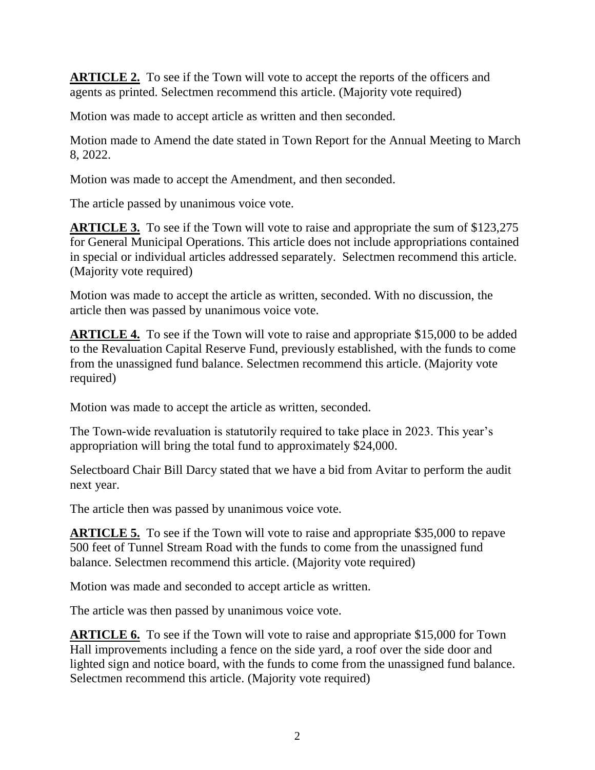**ARTICLE 2.** To see if the Town will vote to accept the reports of the officers and agents as printed. Selectmen recommend this article. (Majority vote required)

Motion was made to accept article as written and then seconded.

Motion made to Amend the date stated in Town Report for the Annual Meeting to March 8, 2022.

Motion was made to accept the Amendment, and then seconded.

The article passed by unanimous voice vote.

**ARTICLE 3.** To see if the Town will vote to raise and appropriate the sum of \$123,275 for General Municipal Operations. This article does not include appropriations contained in special or individual articles addressed separately. Selectmen recommend this article. (Majority vote required)

Motion was made to accept the article as written, seconded. With no discussion, the article then was passed by unanimous voice vote.

**ARTICLE 4.** To see if the Town will vote to raise and appropriate \$15,000 to be added to the Revaluation Capital Reserve Fund, previously established, with the funds to come from the unassigned fund balance. Selectmen recommend this article. (Majority vote required)

Motion was made to accept the article as written, seconded.

The Town-wide revaluation is statutorily required to take place in 2023. This year's appropriation will bring the total fund to approximately \$24,000.

Selectboard Chair Bill Darcy stated that we have a bid from Avitar to perform the audit next year.

The article then was passed by unanimous voice vote.

**ARTICLE 5.** To see if the Town will vote to raise and appropriate \$35,000 to repave 500 feet of Tunnel Stream Road with the funds to come from the unassigned fund balance. Selectmen recommend this article. (Majority vote required)

Motion was made and seconded to accept article as written.

The article was then passed by unanimous voice vote.

**ARTICLE 6.** To see if the Town will vote to raise and appropriate \$15,000 for Town Hall improvements including a fence on the side yard, a roof over the side door and lighted sign and notice board, with the funds to come from the unassigned fund balance. Selectmen recommend this article. (Majority vote required)